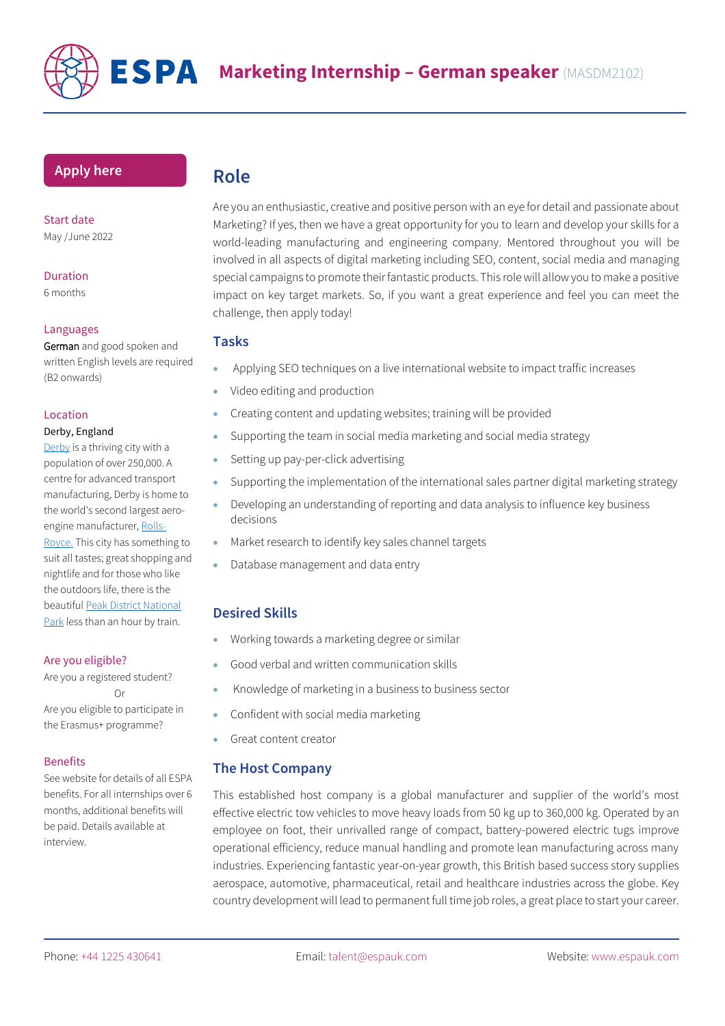

### **[Apply](https://www.espauk.com/students/student-application/) here**

Start date May /June 2022

# Duration

6 months

#### Languages

German and good spoken and written English levels are required (B2 onwards)

#### Location

#### Derby, England

[Derby](https://www.visitderby.co.uk/) is a thriving city with a population of over 250,000. A centre for advanced transport manufacturing, Derby is home to the world's second largest aero-engine manufacturer, [Rolls-](https://www.rolls-royce.com/)

[Royce.](https://www.rolls-royce.com/) This city has something to suit all tastes; great shopping and nightlife and for those who like the outdoors life, there is the beautifu[l Peak District National](https://www.visitpeakdistrict.com/things-to-do)  [Park](https://www.visitpeakdistrict.com/things-to-do) less than an hour by train.

#### Are you eligible?

Are you a registered student? Or Are you eligible to participate in the Erasmus+ programme?

#### **Benefits**

See website for details of all ESPA benefits. For all internships over 6 months, additional benefits will be paid. Details available at interview.

# **Role**

Are you an enthusiastic, creative and positive person with an eye for detail and passionate about Marketing? If yes, then we have a great opportunity for you to learn and develop your skills for a world-leading manufacturing and engineering company. Mentored throughout you will be involved in all aspects of digital marketing including SEO, content, social media and managing special campaigns to promote their fantastic products. This role will allow you to make a positive impact on key target markets. So, if you want a great experience and feel you can meet the challenge, then apply today!

### **Tasks**

- Applying SEO techniques on a live international website to impact traffic increases
- Video editing and production
- Creating content and updating websites; training will be provided
- Supporting the team in social media marketing and social media strategy
- Setting up pay-per-click advertising
- Supporting the implementation of the international sales partner digital marketing strategy
- Developing an understanding of reporting and data analysis to influence key business decisions
- Market research to identify key sales channel targets
- Database management and data entry

# **Desired Skills**

- Working towards a marketing degree or similar
- Good verbal and written communication skills
- Knowledge of marketing in a business to business sector
- Confident with social media marketing
- Great content creator

## **The Host Company**

This established host company is a global manufacturer and supplier of the world's most effective electric tow vehicles to move heavy loads from 50 kg up to 360,000 kg. Operated by an employee on foot, their unrivalled range of compact, battery-powered electric tugs improve operational efficiency, reduce manual handling and promote lean manufacturing across many industries. Experiencing fantastic year-on-year growth, this British based success story supplies aerospace, automotive, pharmaceutical, retail and healthcare industries across the globe. Key country development will lead to permanent full time job roles, a great place to start your career.